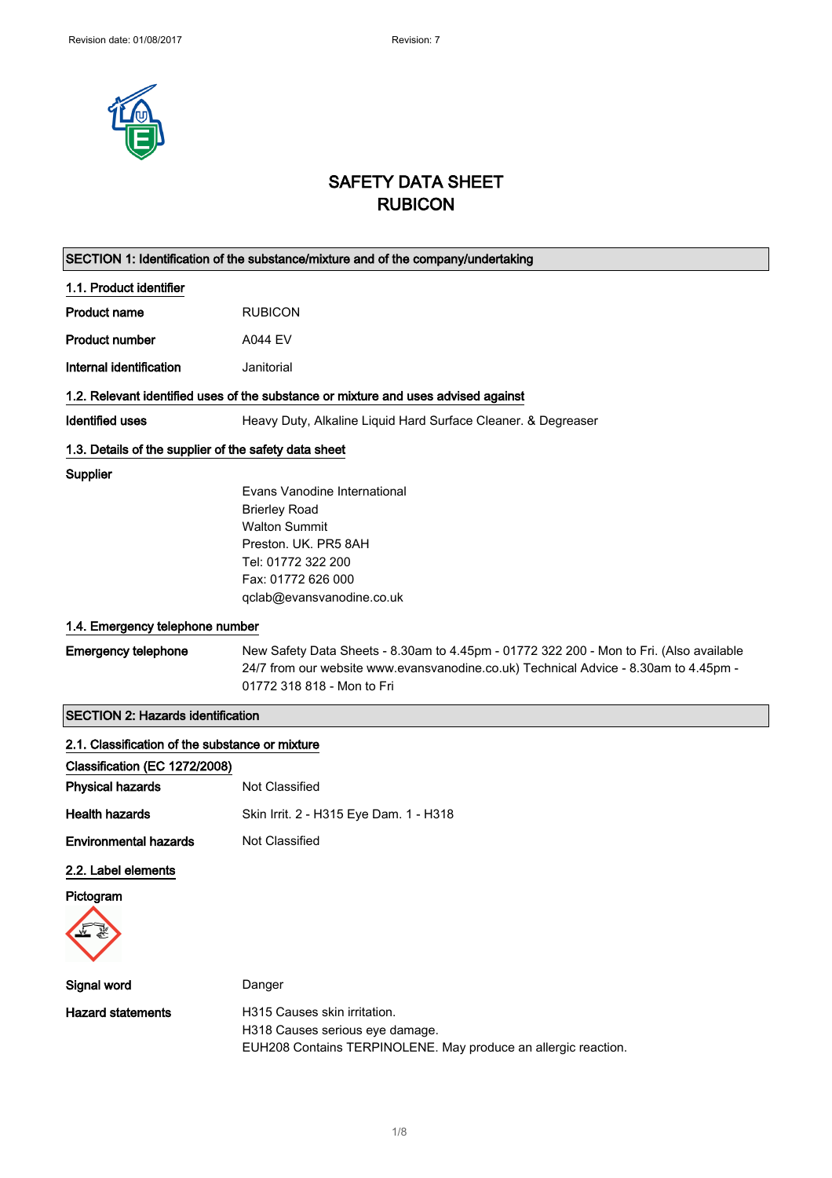

# SAFETY DATA SHEET RUBICON

|                                                       | SECTION 1: Identification of the substance/mixture and of the company/undertaking                                                                                                                             |  |  |
|-------------------------------------------------------|---------------------------------------------------------------------------------------------------------------------------------------------------------------------------------------------------------------|--|--|
| 1.1. Product identifier                               |                                                                                                                                                                                                               |  |  |
| <b>Product name</b>                                   | <b>RUBICON</b>                                                                                                                                                                                                |  |  |
| <b>Product number</b>                                 | <b>A044 EV</b>                                                                                                                                                                                                |  |  |
| Internal identification                               | Janitorial                                                                                                                                                                                                    |  |  |
|                                                       | 1.2. Relevant identified uses of the substance or mixture and uses advised against                                                                                                                            |  |  |
| Identified uses                                       | Heavy Duty, Alkaline Liquid Hard Surface Cleaner. & Degreaser                                                                                                                                                 |  |  |
| 1.3. Details of the supplier of the safety data sheet |                                                                                                                                                                                                               |  |  |
| Supplier                                              |                                                                                                                                                                                                               |  |  |
|                                                       | Evans Vanodine International                                                                                                                                                                                  |  |  |
|                                                       | <b>Brierley Road</b>                                                                                                                                                                                          |  |  |
|                                                       | <b>Walton Summit</b>                                                                                                                                                                                          |  |  |
|                                                       | Preston. UK. PR5 8AH<br>Tel: 01772 322 200                                                                                                                                                                    |  |  |
|                                                       | Fax: 01772 626 000                                                                                                                                                                                            |  |  |
|                                                       | qclab@evansvanodine.co.uk                                                                                                                                                                                     |  |  |
|                                                       |                                                                                                                                                                                                               |  |  |
| 1.4. Emergency telephone number                       |                                                                                                                                                                                                               |  |  |
| <b>Emergency telephone</b>                            | New Safety Data Sheets - 8.30am to 4.45pm - 01772 322 200 - Mon to Fri. (Also available<br>24/7 from our website www.evansvanodine.co.uk) Technical Advice - 8.30am to 4.45pm -<br>01772 318 818 - Mon to Fri |  |  |
| <b>SECTION 2: Hazards identification</b>              |                                                                                                                                                                                                               |  |  |
| 2.1. Classification of the substance or mixture       |                                                                                                                                                                                                               |  |  |
| Classification (EC 1272/2008)                         |                                                                                                                                                                                                               |  |  |
| <b>Physical hazards</b>                               | Not Classified                                                                                                                                                                                                |  |  |
| <b>Health hazards</b>                                 | Skin Irrit. 2 - H315 Eye Dam. 1 - H318                                                                                                                                                                        |  |  |
| <b>Environmental hazards</b>                          | Not Classified                                                                                                                                                                                                |  |  |
|                                                       |                                                                                                                                                                                                               |  |  |
| 2.2. Label elements                                   |                                                                                                                                                                                                               |  |  |
| Pictogram                                             |                                                                                                                                                                                                               |  |  |
|                                                       |                                                                                                                                                                                                               |  |  |
| Signal word                                           | Danger                                                                                                                                                                                                        |  |  |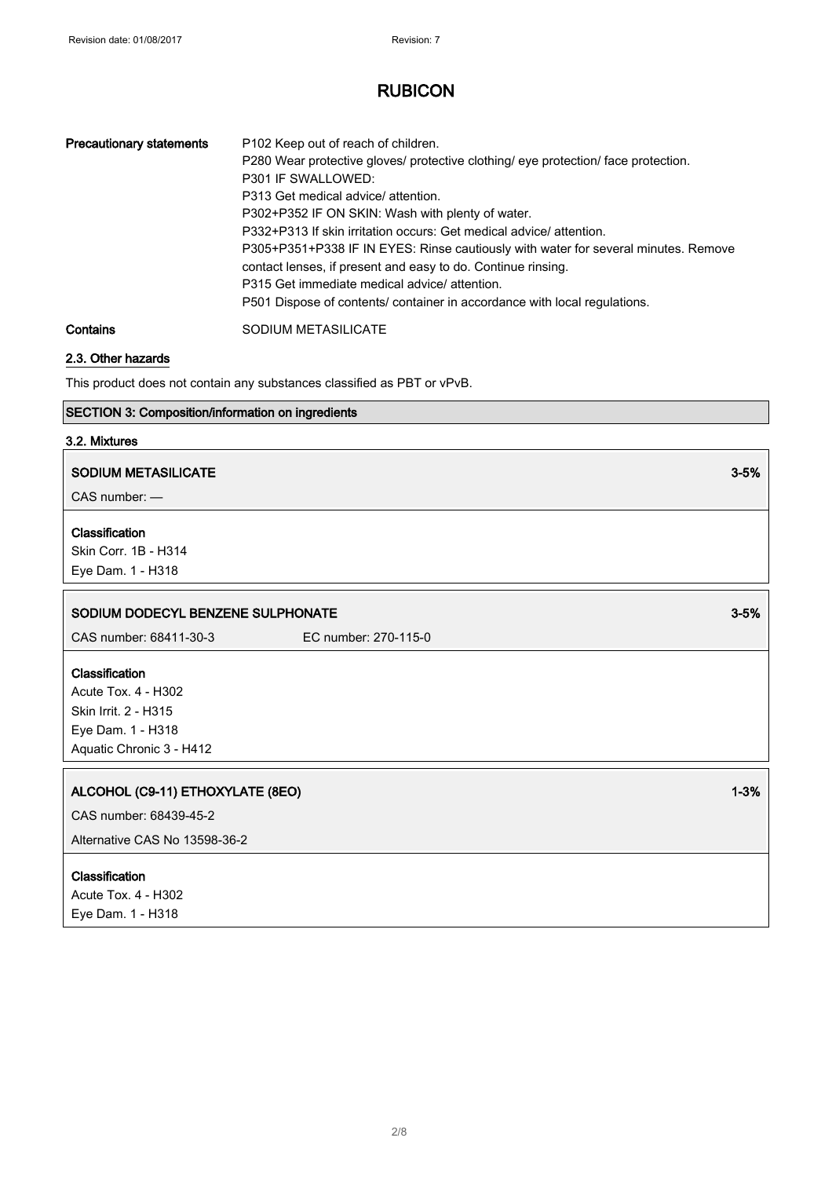| <b>Precautionary statements</b> | P102 Keep out of reach of children.<br>P280 Wear protective gloves/ protective clothing/ eye protection/ face protection.<br>P301 IF SWALLOWED:<br>P313 Get medical advice/attention.<br>P302+P352 IF ON SKIN: Wash with plenty of water.<br>P332+P313 If skin irritation occurs: Get medical advice/ attention.<br>P305+P351+P338 IF IN EYES: Rinse cautiously with water for several minutes. Remove<br>contact lenses, if present and easy to do. Continue rinsing.<br>P315 Get immediate medical advice/attention.<br>P501 Dispose of contents/ container in accordance with local regulations. |
|---------------------------------|-----------------------------------------------------------------------------------------------------------------------------------------------------------------------------------------------------------------------------------------------------------------------------------------------------------------------------------------------------------------------------------------------------------------------------------------------------------------------------------------------------------------------------------------------------------------------------------------------------|
| Contains                        | SODIUM METASILICATE                                                                                                                                                                                                                                                                                                                                                                                                                                                                                                                                                                                 |

## 2.3. Other hazards

This product does not contain any substances classified as PBT or vPvB.

#### SECTION 3: Composition/information on ingredients

#### 3.2. Mixtures

#### SODIUM METASILICATE **3-5%** SODIUM METASILICATE

CAS number: —

#### Classification

Skin Corr. 1B - H314 Eye Dam. 1 - H318

#### SODIUM DODECYL BENZENE SULPHONATE 3-5%

CAS number: 68411-30-3 EC number: 270-115-0

#### **Classification**

Acute Tox. 4 - H302 Skin Irrit. 2 - H315 Eye Dam. 1 - H318 Aquatic Chronic 3 - H412

## ALCOHOL (C9-11) ETHOXYLATE (8EO) 1-3%

CAS number: 68439-45-2

Alternative CAS No 13598-36-2

#### Classification

Acute Tox. 4 - H302 Eye Dam. 1 - H318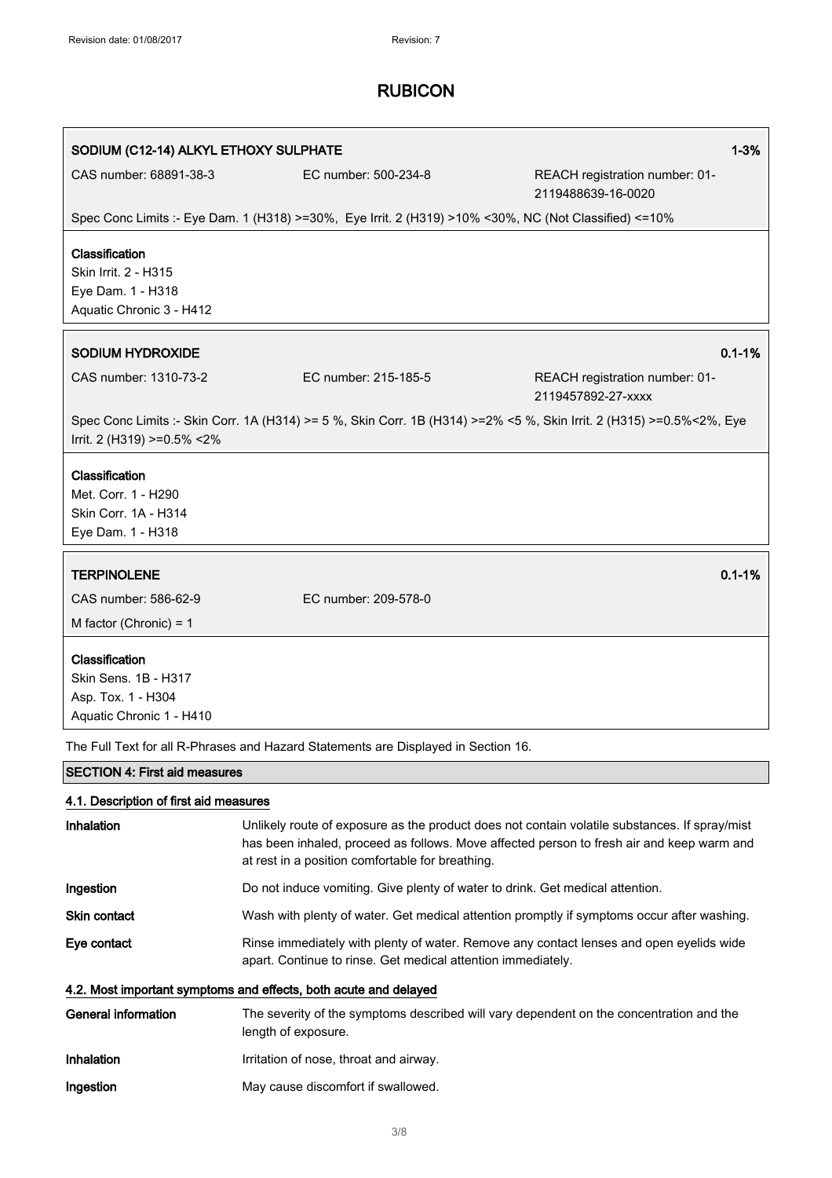| SODIUM (C12-14) ALKYL ETHOXY SULPHATE                                                   |                                                                                                                      | $1 - 3%$                                                                                                                                                                                   |
|-----------------------------------------------------------------------------------------|----------------------------------------------------------------------------------------------------------------------|--------------------------------------------------------------------------------------------------------------------------------------------------------------------------------------------|
| CAS number: 68891-38-3                                                                  | EC number: 500-234-8                                                                                                 | REACH registration number: 01-<br>2119488639-16-0020                                                                                                                                       |
|                                                                                         | Spec Conc Limits :- Eye Dam. 1 (H318) >=30%, Eye Irrit. 2 (H319) >10% <30%, NC (Not Classified) <=10%                |                                                                                                                                                                                            |
| Classification<br>Skin Irrit. 2 - H315<br>Eye Dam. 1 - H318<br>Aquatic Chronic 3 - H412 |                                                                                                                      |                                                                                                                                                                                            |
| <b>SODIUM HYDROXIDE</b>                                                                 |                                                                                                                      | $0.1 - 1%$                                                                                                                                                                                 |
| CAS number: 1310-73-2                                                                   | EC number: 215-185-5                                                                                                 | REACH registration number: 01-<br>2119457892-27-xxxx                                                                                                                                       |
| Irrit. 2 (H319) >=0.5% <2%                                                              | Spec Conc Limits :- Skin Corr. 1A (H314) >= 5 %, Skin Corr. 1B (H314) >=2% <5 %, Skin Irrit. 2 (H315) >=0.5%<2%, Eye |                                                                                                                                                                                            |
| Classification<br>Met. Corr. 1 - H290<br>Skin Corr. 1A - H314<br>Eye Dam. 1 - H318      |                                                                                                                      |                                                                                                                                                                                            |
| <b>TERPINOLENE</b>                                                                      |                                                                                                                      | $0.1 - 1%$                                                                                                                                                                                 |
| CAS number: 586-62-9                                                                    | EC number: 209-578-0                                                                                                 |                                                                                                                                                                                            |
| M factor (Chronic) = $1$                                                                |                                                                                                                      |                                                                                                                                                                                            |
| Classification<br>Skin Sens. 1B - H317<br>Asp. Tox. 1 - H304                            |                                                                                                                      |                                                                                                                                                                                            |
| Aquatic Chronic 1 - H410                                                                |                                                                                                                      |                                                                                                                                                                                            |
|                                                                                         | The Full Text for all R-Phrases and Hazard Statements are Displayed in Section 16.                                   |                                                                                                                                                                                            |
| <b>SECTION 4: First aid measures</b>                                                    |                                                                                                                      |                                                                                                                                                                                            |
| 4.1. Description of first aid measures                                                  |                                                                                                                      |                                                                                                                                                                                            |
| Inhalation                                                                              | at rest in a position comfortable for breathing.                                                                     | Unlikely route of exposure as the product does not contain volatile substances. If spray/mist<br>has been inhaled, proceed as follows. Move affected person to fresh air and keep warm and |
| Ingestion                                                                               | Do not induce vomiting. Give plenty of water to drink. Get medical attention.                                        |                                                                                                                                                                                            |

Skin contact Wash with plenty of water. Get medical attention promptly if symptoms occur after washing.

Eye contact Rinse immediately with plenty of water. Remove any contact lenses and open eyelids wide apart. Continue to rinse. Get medical attention immediately.

#### 4.2. Most important symptoms and effects, both acute and delayed

| General information | The severity of the symptoms described will vary dependent on the concentration and the<br>length of exposure. |
|---------------------|----------------------------------------------------------------------------------------------------------------|
| Inhalation          | Irritation of nose, throat and airway.                                                                         |
| Ingestion           | May cause discomfort if swallowed.                                                                             |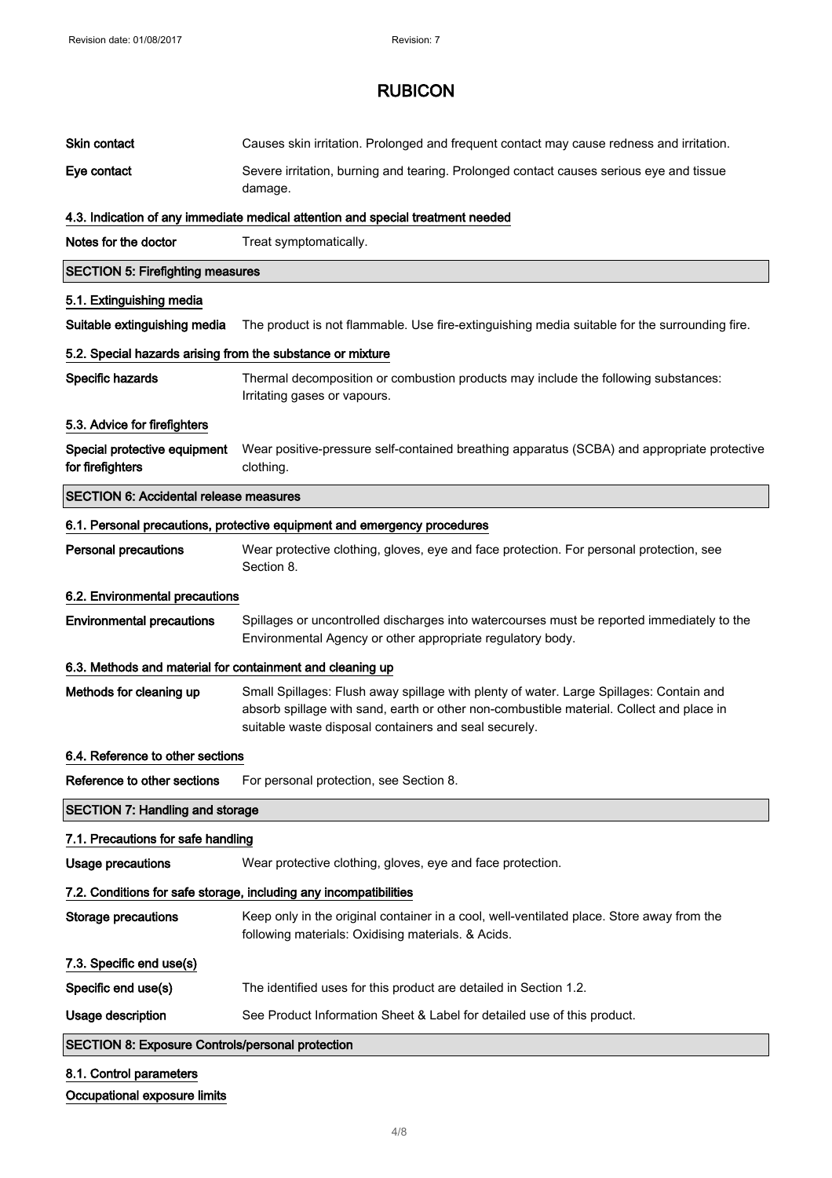| Skin contact                                               | Causes skin irritation. Prolonged and frequent contact may cause redness and irritation.                                                                                                                                                     |
|------------------------------------------------------------|----------------------------------------------------------------------------------------------------------------------------------------------------------------------------------------------------------------------------------------------|
| Eye contact                                                | Severe irritation, burning and tearing. Prolonged contact causes serious eye and tissue<br>damage.                                                                                                                                           |
|                                                            | 4.3. Indication of any immediate medical attention and special treatment needed                                                                                                                                                              |
| Notes for the doctor                                       | Treat symptomatically.                                                                                                                                                                                                                       |
| <b>SECTION 5: Firefighting measures</b>                    |                                                                                                                                                                                                                                              |
| 5.1. Extinguishing media                                   |                                                                                                                                                                                                                                              |
| Suitable extinguishing media                               | The product is not flammable. Use fire-extinguishing media suitable for the surrounding fire.                                                                                                                                                |
| 5.2. Special hazards arising from the substance or mixture |                                                                                                                                                                                                                                              |
| Specific hazards                                           | Thermal decomposition or combustion products may include the following substances:<br>Irritating gases or vapours.                                                                                                                           |
| 5.3. Advice for firefighters                               |                                                                                                                                                                                                                                              |
| Special protective equipment<br>for firefighters           | Wear positive-pressure self-contained breathing apparatus (SCBA) and appropriate protective<br>clothing.                                                                                                                                     |
| <b>SECTION 6: Accidental release measures</b>              |                                                                                                                                                                                                                                              |
|                                                            | 6.1. Personal precautions, protective equipment and emergency procedures                                                                                                                                                                     |
| <b>Personal precautions</b>                                | Wear protective clothing, gloves, eye and face protection. For personal protection, see<br>Section 8.                                                                                                                                        |
| 6.2. Environmental precautions                             |                                                                                                                                                                                                                                              |
| <b>Environmental precautions</b>                           | Spillages or uncontrolled discharges into watercourses must be reported immediately to the<br>Environmental Agency or other appropriate regulatory body.                                                                                     |
| 6.3. Methods and material for containment and cleaning up  |                                                                                                                                                                                                                                              |
| Methods for cleaning up                                    | Small Spillages: Flush away spillage with plenty of water. Large Spillages: Contain and<br>absorb spillage with sand, earth or other non-combustible material. Collect and place in<br>suitable waste disposal containers and seal securely. |
| 6.4. Reference to other sections                           |                                                                                                                                                                                                                                              |
| Reference to other sections                                | For personal protection, see Section 8.                                                                                                                                                                                                      |
| <b>SECTION 7: Handling and storage</b>                     |                                                                                                                                                                                                                                              |
| 7.1. Precautions for safe handling                         |                                                                                                                                                                                                                                              |
| Usage precautions                                          | Wear protective clothing, gloves, eye and face protection.                                                                                                                                                                                   |
|                                                            | 7.2. Conditions for safe storage, including any incompatibilities                                                                                                                                                                            |
| <b>Storage precautions</b>                                 | Keep only in the original container in a cool, well-ventilated place. Store away from the<br>following materials: Oxidising materials. & Acids.                                                                                              |
| 7.3. Specific end use(s)                                   |                                                                                                                                                                                                                                              |
| Specific end use(s)                                        | The identified uses for this product are detailed in Section 1.2.                                                                                                                                                                            |
| Usage description                                          | See Product Information Sheet & Label for detailed use of this product.                                                                                                                                                                      |
| <b>SECTION 8: Exposure Controls/personal protection</b>    |                                                                                                                                                                                                                                              |
| 8.1. Control parameters                                    |                                                                                                                                                                                                                                              |

#### Occupational exposure limits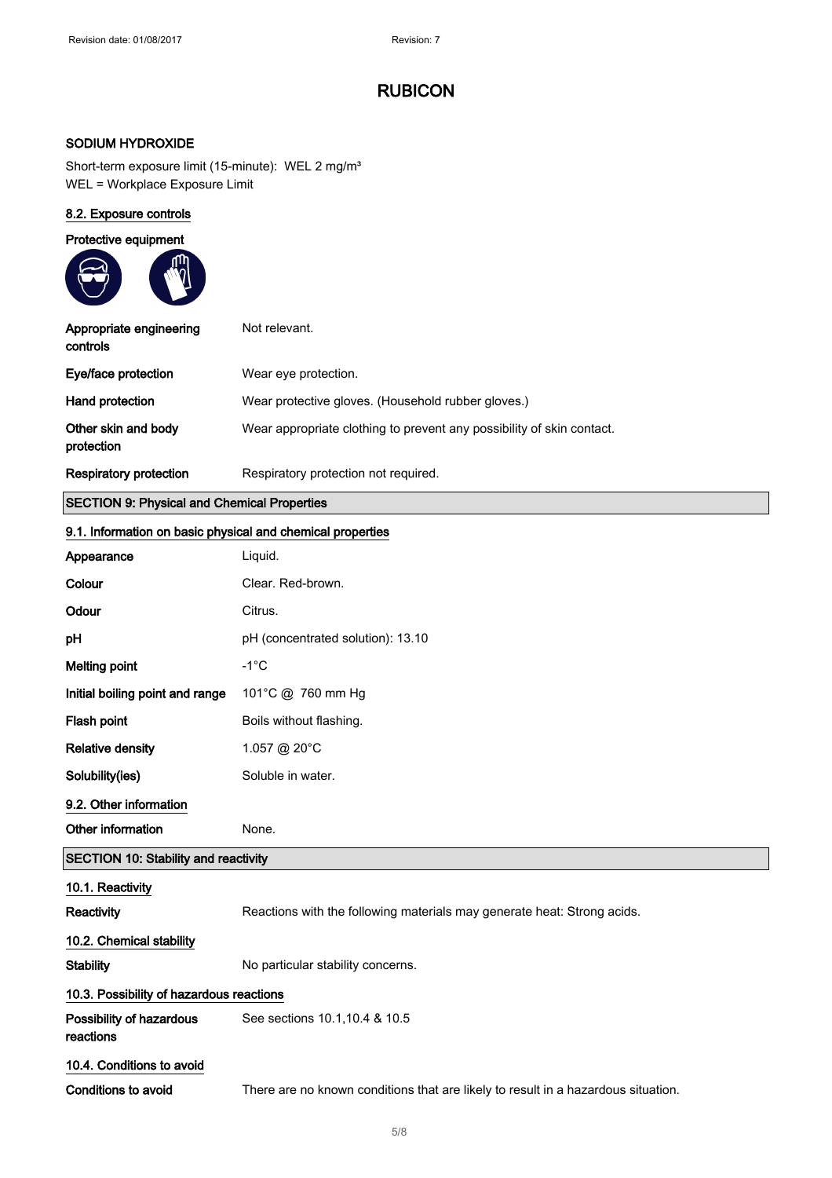### SODIUM HYDROXIDE

Short-term exposure limit (15-minute): WEL 2 mg/m<sup>3</sup> WEL = Workplace Exposure Limit

## 8.2. Exposure controls

| Protective equipment                |                                                                       |
|-------------------------------------|-----------------------------------------------------------------------|
| Appropriate engineering<br>controls | Not relevant.                                                         |
| Eye/face protection                 | Wear eye protection.                                                  |
| <b>Hand protection</b>              | Wear protective gloves. (Household rubber gloves.)                    |
| Other skin and body<br>protection   | Wear appropriate clothing to prevent any possibility of skin contact. |
| Respiratory protection              | Respiratory protection not required.                                  |

#### SECTION 9: Physical and Chemical Properties

#### 9.1. Information on basic physical and chemical properties

| Appearance                                  | Liquid.                                                                           |
|---------------------------------------------|-----------------------------------------------------------------------------------|
| Colour                                      | Clear. Red-brown.                                                                 |
| Odour                                       | Citrus.                                                                           |
| pH                                          | pH (concentrated solution): 13.10                                                 |
| <b>Melting point</b>                        | $-1^{\circ}$ C                                                                    |
| Initial boiling point and range             | 101°C @ 760 mm Hg                                                                 |
| Flash point                                 | Boils without flashing.                                                           |
| <b>Relative density</b>                     | 1.057 @ 20°C                                                                      |
| Solubility(ies)                             | Soluble in water.                                                                 |
| 9.2. Other information                      |                                                                                   |
| Other information                           | None.                                                                             |
| <b>SECTION 10: Stability and reactivity</b> |                                                                                   |
| 10.1. Reactivity                            |                                                                                   |
| Reactivity                                  | Reactions with the following materials may generate heat: Strong acids.           |
| 10.2. Chemical stability                    |                                                                                   |
| <b>Stability</b>                            | No particular stability concerns.                                                 |
| 10.3. Possibility of hazardous reactions    |                                                                                   |
| Possibility of hazardous<br>reactions       | See sections 10.1, 10.4 & 10.5                                                    |
| 10.4. Conditions to avoid                   |                                                                                   |
| Conditions to avoid                         | There are no known conditions that are likely to result in a hazardous situation. |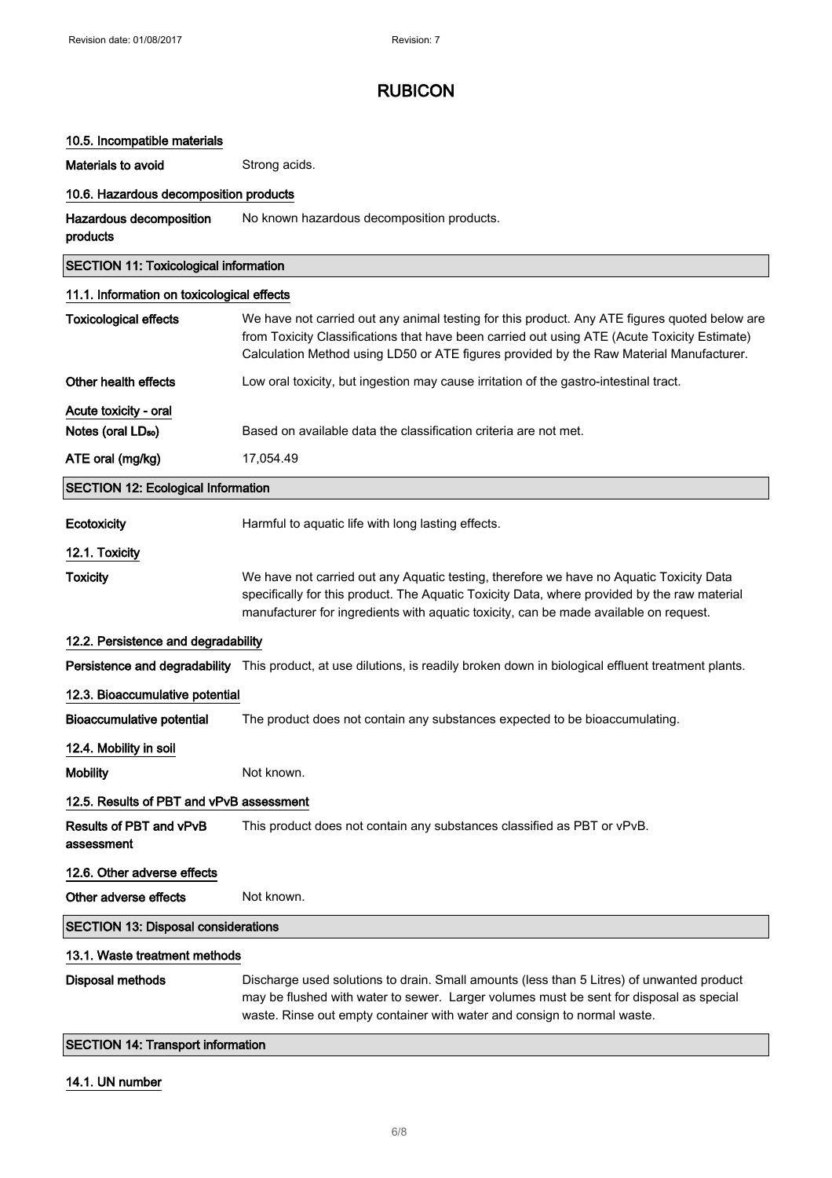## 10.5. Incompatible materials

Materials to avoid **Strong acids**.

#### 10.6. Hazardous decomposition products

Hazardous decomposition products No known hazardous decomposition products.

| <b>SECTION 11: Toxicological information</b> |                                                                                                                                                                                                                                                                                          |  |
|----------------------------------------------|------------------------------------------------------------------------------------------------------------------------------------------------------------------------------------------------------------------------------------------------------------------------------------------|--|
| 11.1. Information on toxicological effects   |                                                                                                                                                                                                                                                                                          |  |
| <b>Toxicological effects</b>                 | We have not carried out any animal testing for this product. Any ATE figures quoted below are<br>from Toxicity Classifications that have been carried out using ATE (Acute Toxicity Estimate)<br>Calculation Method using LD50 or ATE figures provided by the Raw Material Manufacturer. |  |
| Other health effects                         | Low oral toxicity, but ingestion may cause irritation of the gastro-intestinal tract.                                                                                                                                                                                                    |  |
| Acute toxicity - oral                        |                                                                                                                                                                                                                                                                                          |  |
| Notes (oral LD <sub>50</sub> )               | Based on available data the classification criteria are not met.                                                                                                                                                                                                                         |  |
| ATE oral (mg/kg)                             | 17,054.49                                                                                                                                                                                                                                                                                |  |
| <b>SECTION 12: Ecological Information</b>    |                                                                                                                                                                                                                                                                                          |  |
| Ecotoxicity                                  | Harmful to aquatic life with long lasting effects.                                                                                                                                                                                                                                       |  |
| 12.1. Toxicity                               |                                                                                                                                                                                                                                                                                          |  |
| <b>Toxicity</b>                              | We have not carried out any Aquatic testing, therefore we have no Aquatic Toxicity Data<br>specifically for this product. The Aquatic Toxicity Data, where provided by the raw material<br>manufacturer for ingredients with aquatic toxicity, can be made available on request.         |  |
| 12.2. Persistence and degradability          |                                                                                                                                                                                                                                                                                          |  |
|                                              | Persistence and degradability This product, at use dilutions, is readily broken down in biological effluent treatment plants.                                                                                                                                                            |  |
| 12.3. Bioaccumulative potential              |                                                                                                                                                                                                                                                                                          |  |
| Bioaccumulative potential                    | The product does not contain any substances expected to be bioaccumulating.                                                                                                                                                                                                              |  |
| 12.4. Mobility in soil                       |                                                                                                                                                                                                                                                                                          |  |
| <b>Mobility</b>                              | Not known.                                                                                                                                                                                                                                                                               |  |
| 12.5. Results of PBT and vPvB assessment     |                                                                                                                                                                                                                                                                                          |  |
| Results of PBT and vPvB<br>assessment        | This product does not contain any substances classified as PBT or vPvB.                                                                                                                                                                                                                  |  |
| 12.6. Other adverse effects                  |                                                                                                                                                                                                                                                                                          |  |
| Other adverse effects                        | Not known.                                                                                                                                                                                                                                                                               |  |
| <b>SECTION 13: Disposal considerations</b>   |                                                                                                                                                                                                                                                                                          |  |
| 13.1. Waste treatment methods                |                                                                                                                                                                                                                                                                                          |  |
| <b>Disposal methods</b>                      | Discharge used solutions to drain. Small amounts (less than 5 Litres) of unwanted product<br>may be flushed with water to sewer. Larger volumes must be sent for disposal as special                                                                                                     |  |

SECTION 14: Transport information

#### 14.1. UN number

waste. Rinse out empty container with water and consign to normal waste.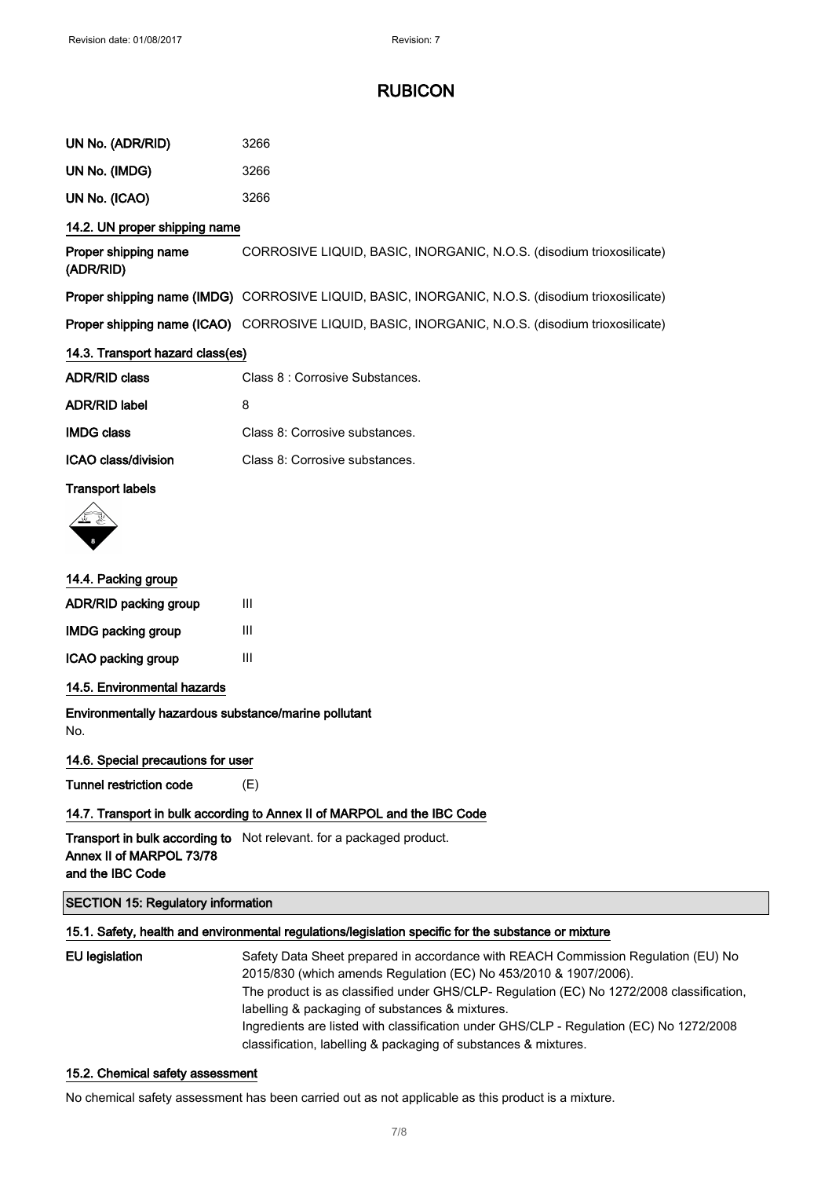| UN No. (ADR/RID)                                            | 3266                                                                                             |
|-------------------------------------------------------------|--------------------------------------------------------------------------------------------------|
| UN No. (IMDG)                                               | 3266                                                                                             |
| UN No. (ICAO)                                               | 3266                                                                                             |
| 14.2. UN proper shipping name                               |                                                                                                  |
| Proper shipping name<br>(ADR/RID)                           | CORROSIVE LIQUID, BASIC, INORGANIC, N.O.S. (disodium trioxosilicate)                             |
|                                                             | Proper shipping name (IMDG) CORROSIVE LIQUID, BASIC, INORGANIC, N.O.S. (disodium trioxosilicate) |
|                                                             | Proper shipping name (ICAO) CORROSIVE LIQUID, BASIC, INORGANIC, N.O.S. (disodium trioxosilicate) |
| 14.3. Transport hazard class(es)                            |                                                                                                  |
| <b>ADR/RID class</b>                                        | Class 8 : Corrosive Substances.                                                                  |
| <b>ADR/RID label</b>                                        | 8                                                                                                |
| <b>IMDG class</b>                                           | Class 8: Corrosive substances.                                                                   |
| ICAO class/division                                         | Class 8: Corrosive substances.                                                                   |
| <b>Transport labels</b>                                     |                                                                                                  |
| 14.4. Packing group                                         |                                                                                                  |
| ADR/RID packing group                                       | Ш                                                                                                |
| <b>IMDG packing group</b>                                   | Ш                                                                                                |
| ICAO packing group                                          | Ш                                                                                                |
| 14.5. Environmental hazards                                 |                                                                                                  |
| Environmentally hazardous substance/marine pollutant<br>No. |                                                                                                  |
| 14.6. Special precautions for user                          |                                                                                                  |
| <b>Tunnel restriction code</b>                              | (E)                                                                                              |

#### 14.7. Transport in bulk according to Annex II of MARPOL and the IBC Code

**Transport in bulk according to** Not relevant. for a packaged product. Annex II of MARPOL 73/78 and the IBC Code

#### SECTION 15: Regulatory information

### 15.1. Safety, health and environmental regulations/legislation specific for the substance or mixture

| EU legislation | Safety Data Sheet prepared in accordance with REACH Commission Regulation (EU) No        |
|----------------|------------------------------------------------------------------------------------------|
|                | 2015/830 (which amends Regulation (EC) No 453/2010 & 1907/2006).                         |
|                | The product is as classified under GHS/CLP- Regulation (EC) No 1272/2008 classification, |
|                | labelling & packaging of substances & mixtures.                                          |
|                | Ingredients are listed with classification under GHS/CLP - Regulation (EC) No 1272/2008  |
|                | classification, labelling & packaging of substances & mixtures.                          |

### 15.2. Chemical safety assessment

No chemical safety assessment has been carried out as not applicable as this product is a mixture.